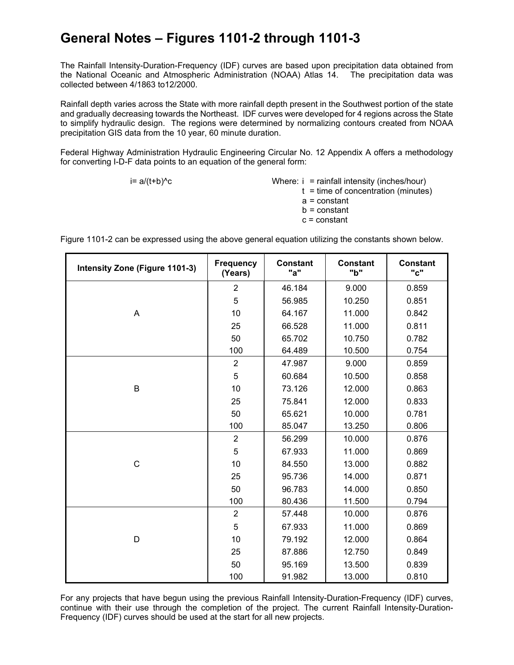## **General Notes – Figures 1101-2 through 1101-3**

The Rainfall Intensity-Duration-Frequency (IDF) curves are based upon precipitation data obtained from the National Oceanic and Atmospheric Administration (NOAA) Atlas 14. The precipitation data was collected between 4/1863 to12/2000.

Rainfall depth varies across the State with more rainfall depth present in the Southwest portion of the state and gradually decreasing towards the Northeast. IDF curves were developed for 4 regions across the State to simplify hydraulic design. The regions were determined by normalizing contours created from NOAA precipitation GIS data from the 10 year, 60 minute duration.

Federal Highway Administration Hydraulic Engineering Circular No. 12 Appendix A offers a methodology for converting I-D-F data points to an equation of the general form:

 $i= a/(t+b)^c$  Where: i = rainfall intensity (inches/hour)  $t =$  time of concentration (minutes) a = constant  $b = constant$ c = constant

Figure 1101-2 can be expressed using the above general equation utilizing the constants shown below.

| <b>Intensity Zone (Figure 1101-3)</b> | <b>Frequency</b><br>(Years) | <b>Constant</b><br>"a" | <b>Constant</b><br>"b" | <b>Constant</b><br>"c" |
|---------------------------------------|-----------------------------|------------------------|------------------------|------------------------|
|                                       | $\overline{2}$              | 46.184                 | 9.000                  | 0.859                  |
|                                       | 5                           | 56.985                 | 10.250                 | 0.851                  |
| A                                     | 10                          | 64.167                 | 11.000                 | 0.842                  |
|                                       | 25                          | 66.528                 | 11.000                 | 0.811                  |
|                                       | 50                          | 65.702                 | 10.750                 | 0.782                  |
|                                       | 100                         | 64.489                 | 10.500                 | 0.754                  |
|                                       | $\overline{2}$              | 47.987                 | 9.000                  | 0.859                  |
|                                       | 5                           | 60.684                 | 10.500                 | 0.858                  |
| B                                     | 10                          | 73.126                 | 12.000                 | 0.863                  |
|                                       | 25                          | 75.841                 | 12.000                 | 0.833                  |
|                                       | 50                          | 65.621                 | 10.000                 | 0.781                  |
|                                       | 100                         | 85.047                 | 13.250                 | 0.806                  |
|                                       | $\overline{2}$              | 56.299                 | 10.000                 | 0.876                  |
|                                       | 5                           | 67.933                 | 11.000                 | 0.869                  |
| $\mathsf{C}$                          | 10                          | 84.550                 | 13.000                 | 0.882                  |
|                                       | 25                          | 95.736                 | 14.000                 | 0.871                  |
|                                       | 50                          | 96.783                 | 14.000                 | 0.850                  |
|                                       | 100                         | 80.436                 | 11.500                 | 0.794                  |
| D                                     | $\overline{2}$              | 57.448                 | 10.000                 | 0.876                  |
|                                       | 5                           | 67.933                 | 11.000                 | 0.869                  |
|                                       | 10                          | 79.192                 | 12.000                 | 0.864                  |
|                                       | 25                          | 87.886                 | 12.750                 | 0.849                  |
|                                       | 50                          | 95.169                 | 13.500                 | 0.839                  |
|                                       | 100                         | 91.982                 | 13.000                 | 0.810                  |

For any projects that have begun using the previous Rainfall Intensity-Duration-Frequency (IDF) curves, continue with their use through the completion of the project. The current Rainfall Intensity-Duration-Frequency (IDF) curves should be used at the start for all new projects.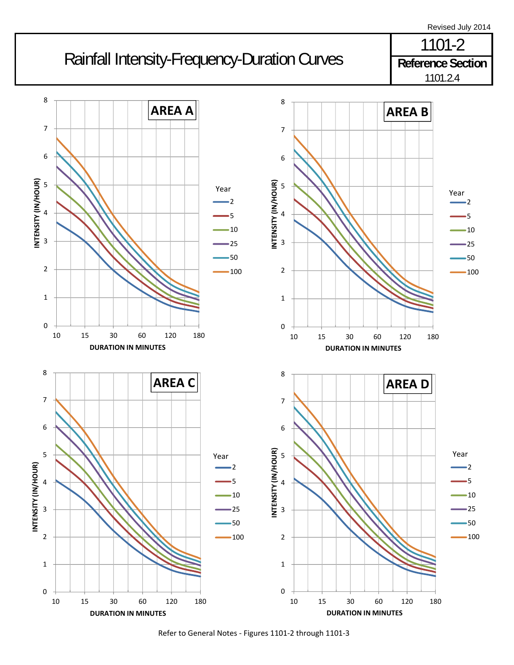



Refer to General Notes ‐ Figures 1101‐2 through 1101‐3